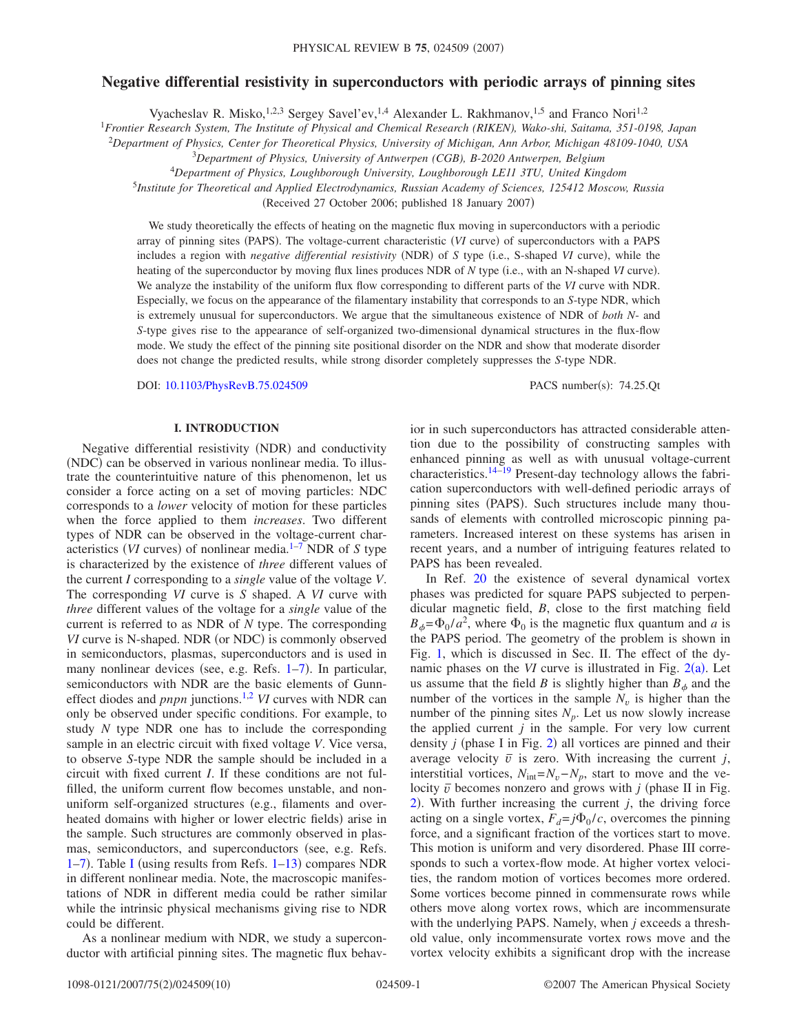# **Negative differential resistivity in superconductors with periodic arrays of pinning sites**

Vyacheslav R. Misko,<sup>1,2,3</sup> Sergey Savel'ev,<sup>1,4</sup> Alexander L. Rakhmanov,<sup>1,5</sup> and Franco Nori<sup>1,2</sup>

1 *Frontier Research System, The Institute of Physical and Chemical Research (RIKEN), Wako-shi, Saitama, 351-0198, Japan*

<sup>2</sup>*Department of Physics, Center for Theoretical Physics, University of Michigan, Ann Arbor, Michigan 48109-1040, USA*

3 *Department of Physics, University of Antwerpen (CGB), B-2020 Antwerpen, Belgium*

<sup>4</sup>*Department of Physics, Loughborough University, Loughborough LE11 3TU, United Kingdom*

<sup>5</sup>*Institute for Theoretical and Applied Electrodynamics, Russian Academy of Sciences, 125412 Moscow, Russia*

(Received 27 October 2006; published 18 January 2007)

We study theoretically the effects of heating on the magnetic flux moving in superconductors with a periodic array of pinning sites (PAPS). The voltage-current characteristic (VI curve) of superconductors with a PAPS includes a region with *negative differential resistivity* (NDR) of *S* type (i.e., S-shaped *VI* curve), while the heating of the superconductor by moving flux lines produces NDR of *N* type (i.e., with an N-shaped *VI* curve). We analyze the instability of the uniform flux flow corresponding to different parts of the *VI* curve with NDR. Especially, we focus on the appearance of the filamentary instability that corresponds to an *S*-type NDR, which is extremely unusual for superconductors. We argue that the simultaneous existence of NDR of *both N*- and *S*-type gives rise to the appearance of self-organized two-dimensional dynamical structures in the flux-flow mode. We study the effect of the pinning site positional disorder on the NDR and show that moderate disorder does not change the predicted results, while strong disorder completely suppresses the *S*-type NDR.

DOI: [10.1103/PhysRevB.75.024509](http://dx.doi.org/10.1103/PhysRevB.75.024509)

PACS number(s): 74.25.Ot

## **I. INTRODUCTION**

Negative differential resistivity (NDR) and conductivity (NDC) can be observed in various nonlinear media. To illustrate the counterintuitive nature of this phenomenon, let us consider a force acting on a set of moving particles: NDC corresponds to a *lower* velocity of motion for these particles when the force applied to them *increases*. Two different types of NDR can be observed in the voltage-current char-acteristics (VI curves) of nonlinear media.<sup>1–[7](#page-8-1)</sup> NDR of *S* type is characterized by the existence of *three* different values of the current *I* corresponding to a *single* value of the voltage *V*. The corresponding *VI* curve is *S* shaped. A *VI* curve with *three* different values of the voltage for a *single* value of the current is referred to as NDR of *N* type. The corresponding VI curve is N-shaped. NDR (or NDC) is commonly observed in semiconductors, plasmas, superconductors and is used in many nonlinear devices (see, e.g. Refs. [1–](#page-8-0)[7](#page-8-1)). In particular, semiconductors with NDR are the basic elements of Gunneffect diodes and *pnpn* junctions.<sup>1,[2](#page-8-2)</sup> *VI* curves with NDR can only be observed under specific conditions. For example, to study *N* type NDR one has to include the corresponding sample in an electric circuit with fixed voltage *V*. Vice versa, to observe *S*-type NDR the sample should be included in a circuit with fixed current *I*. If these conditions are not fulfilled, the uniform current flow becomes unstable, and nonuniform self-organized structures (e.g., filaments and overheated domains with higher or lower electric fields) arise in the sample. Such structures are commonly observed in plasmas, semiconductors, and superconductors (see, e.g. Refs.) [1](#page-8-0)-7). Table [I](#page-1-0) (using results from Refs. 1-13) compares NDR in different nonlinear media. Note, the macroscopic manifestations of NDR in different media could be rather similar while the intrinsic physical mechanisms giving rise to NDR could be different.

As a nonlinear medium with NDR, we study a superconductor with artificial pinning sites. The magnetic flux behavior in such superconductors has attracted considerable attention due to the possibility of constructing samples with enhanced pinning as well as with unusual voltage-current characteristics.<sup>14[–19](#page-8-5)</sup> Present-day technology allows the fabrication superconductors with well-defined periodic arrays of pinning sites (PAPS). Such structures include many thousands of elements with controlled microscopic pinning parameters. Increased interest on these systems has arisen in recent years, and a number of intriguing features related to PAPS has been revealed.

In Ref. [20](#page-9-0) the existence of several dynamical vortex phases was predicted for square PAPS subjected to perpendicular magnetic field, *B*, close to the first matching field  $B_{\phi} = \Phi_0 / a^2$ , where  $\Phi_0$  is the magnetic flux quantum and *a* is the PAPS period. The geometry of the problem is shown in Fig. [1,](#page-1-1) which is discussed in Sec. II. The effect of the dynamic phases on the  $VI$  curve is illustrated in Fig.  $2(a)$  $2(a)$ . Let us assume that the field *B* is slightly higher than  $B_{\phi}$  and the number of the vortices in the sample  $N<sub>v</sub>$  is higher than the number of the pinning sites  $N_p$ . Let us now slowly increase the applied current  $j$  in the sample. For very low current density  $j$  (phase I in Fig. [2](#page-2-0)) all vortices are pinned and their average velocity  $\bar{v}$  is zero. With increasing the current *j*, interstitial vortices,  $N_{int} = N_v - N_p$ , start to move and the velocity  $\bar{v}$  becomes nonzero and grows with *j* (phase II in Fig.  $2$ ). With further increasing the current *j*, the driving force acting on a single vortex,  $F_d = j\Phi_0/c$ , overcomes the pinning force, and a significant fraction of the vortices start to move. This motion is uniform and very disordered. Phase III corresponds to such a vortex-flow mode. At higher vortex velocities, the random motion of vortices becomes more ordered. Some vortices become pinned in commensurate rows while others move along vortex rows, which are incommensurate with the underlying PAPS. Namely, when *j* exceeds a threshold value, only incommensurate vortex rows move and the vortex velocity exhibits a significant drop with the increase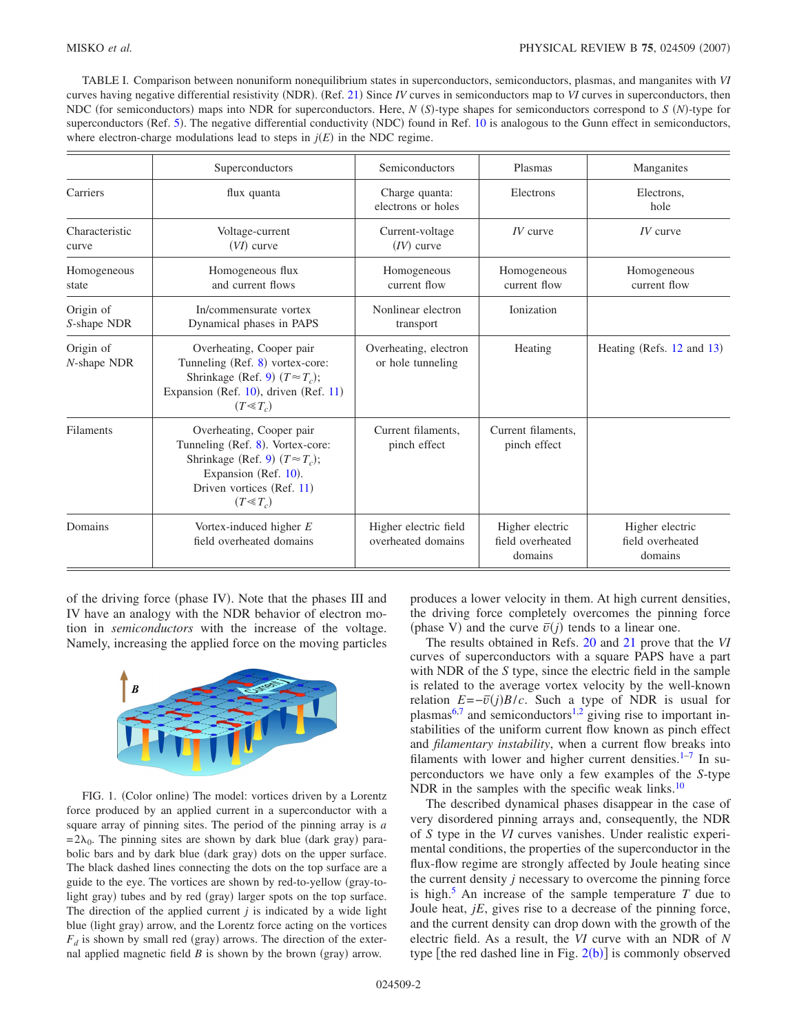<span id="page-1-0"></span>TABLE I. Comparison between nonuniform nonequilibrium states in superconductors, semiconductors, plasmas, and manganites with *VI* curves having negative differential resistivity (NDR). (Ref. [21](#page-9-1)) Since *IV* curves in semiconductors map to *VI* curves in superconductors, then NDC (for semiconductors) maps into NDR for superconductors. Here, *N* (*S*)-type shapes for semiconductors correspond to *S* (*N*)-type for superconductors (Ref. [5](#page-8-8)). The negative differential conductivity (NDC) found in Ref. [10](#page-8-7) is analogous to the Gunn effect in semiconductors, where electron-charge modulations lead to steps in  $j(E)$  in the NDC regime.

|                             | Superconductors                                                                                                                                                              | Semiconductors                              | Plasmas                                        | Manganites                                     |
|-----------------------------|------------------------------------------------------------------------------------------------------------------------------------------------------------------------------|---------------------------------------------|------------------------------------------------|------------------------------------------------|
| Carriers                    | flux quanta                                                                                                                                                                  | Charge quanta:<br>electrons or holes        | Electrons                                      | Electrons,<br>hole                             |
| Characteristic<br>curve     | Voltage-current<br>$(VI)$ curve                                                                                                                                              | Current-voltage<br>$(IV)$ curve             | $IV$ curve                                     | $IV$ curve                                     |
| Homogeneous<br>state        | Homogeneous flux<br>and current flows                                                                                                                                        | Homogeneous<br>current flow                 | Homogeneous<br>current flow                    | Homogeneous<br>current flow                    |
| Origin of<br>S-shape NDR    | In/commensurate vortex<br>Dynamical phases in PAPS                                                                                                                           | Nonlinear electron<br>transport             | <b>Ionization</b>                              |                                                |
| Origin of<br>$N$ -shape NDR | Overheating, Cooper pair<br>Tunneling (Ref. $8$ ) vortex-core:<br>Shrinkage (Ref. 9) $(T \approx T_c)$ ;<br>Expansion (Ref. 10), driven (Ref. 11)<br>$(T \ll T_c)$           | Overheating, electron<br>or hole tunneling  | Heating                                        | Heating (Refs. 12 and 13)                      |
| Filaments                   | Overheating, Cooper pair<br>Tunneling (Ref. 8). Vortex-core:<br>Shrinkage (Ref. 9) $(T \approx T_c)$ ;<br>Expansion (Ref. 10).<br>Driven vortices (Ref. 11)<br>$(T \ll T_c)$ | Current filaments.<br>pinch effect          | Current filaments.<br>pinch effect             |                                                |
| Domains                     | Vortex-induced higher $E$<br>field overheated domains                                                                                                                        | Higher electric field<br>overheated domains | Higher electric<br>field overheated<br>domains | Higher electric<br>field overheated<br>domains |

of the driving force (phase IV). Note that the phases III and IV have an analogy with the NDR behavior of electron motion in *semiconductors* with the increase of the voltage. Namely, increasing the applied force on the moving particles

<span id="page-1-1"></span>

FIG. 1. (Color online) The model: vortices driven by a Lorentz force produced by an applied current in a superconductor with a square array of pinning sites. The period of the pinning array is *a*  $=2\lambda_0$ . The pinning sites are shown by dark blue (dark gray) parabolic bars and by dark blue (dark gray) dots on the upper surface. The black dashed lines connecting the dots on the top surface are a guide to the eye. The vortices are shown by red-to-yellow gray-tolight gray) tubes and by red (gray) larger spots on the top surface. The direction of the applied current  $j$  is indicated by a wide light blue (light gray) arrow, and the Lorentz force acting on the vortices  $F_d$  is shown by small red (gray) arrows. The direction of the external applied magnetic field  $B$  is shown by the brown (gray) arrow.

produces a lower velocity in them. At high current densities, the driving force completely overcomes the pinning force (phase V) and the curve  $\overline{v}(j)$  tends to a linear one.

The results obtained in Refs. [20](#page-9-0) and [21](#page-9-1) prove that the *VI* curves of superconductors with a square PAPS have a part with NDR of the *S* type, since the electric field in the sample is related to the average vortex velocity by the well-known relation  $E = -\bar{v}(j)B/c$ . Such a type of NDR is usual for plasmas<sup>6,[7](#page-8-1)</sup> and semiconductors<sup>1,[2](#page-8-2)</sup> giving rise to important instabilities of the uniform current flow known as pinch effect and *filamentary instability*, when a current flow breaks into filaments with lower and higher current densities. $1-7$  In superconductors we have only a few examples of the *S*-type NDR in the samples with the specific weak links. $10$ 

The described dynamical phases disappear in the case of very disordered pinning arrays and, consequently, the NDR of *S* type in the *VI* curves vanishes. Under realistic experimental conditions, the properties of the superconductor in the flux-flow regime are strongly affected by Joule heating since the current density *j* necessary to overcome the pinning force is high.<sup>5</sup> An increase of the sample temperature  $T$  due to Joule heat, *jE*, gives rise to a decrease of the pinning force, and the current density can drop down with the growth of the electric field. As a result, the *VI* curve with an NDR of *N* type [the red dashed line in Fig.  $2(b)$  $2(b)$ ] is commonly observed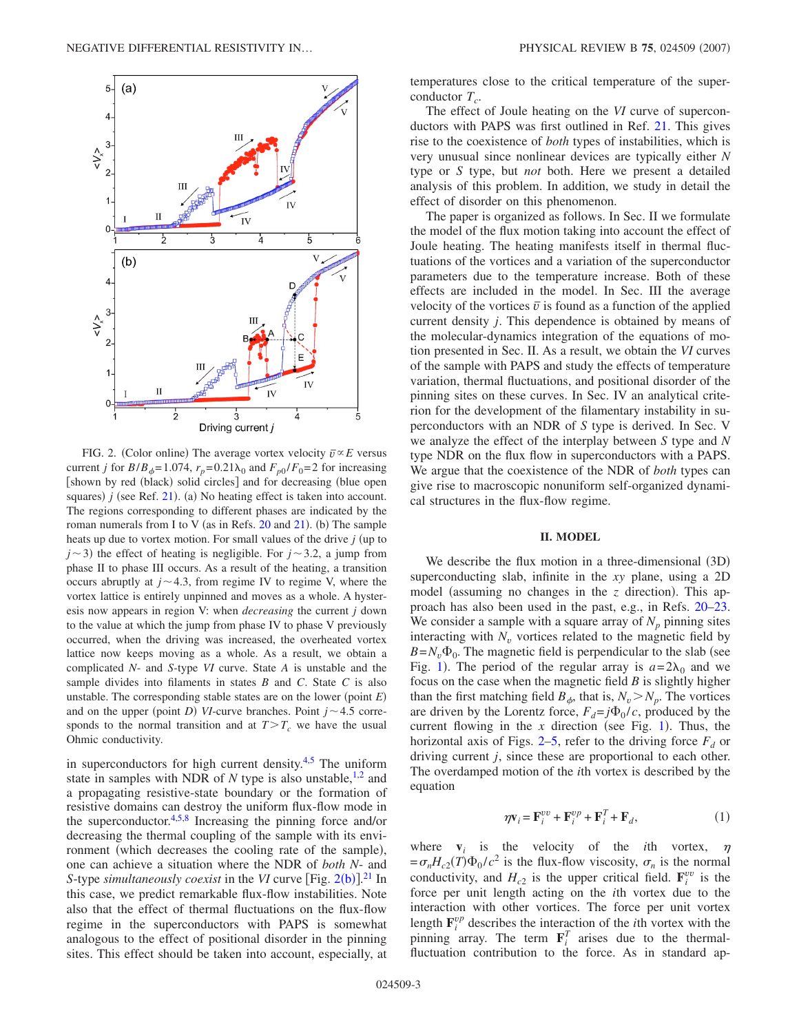<span id="page-2-0"></span>

FIG. 2. (Color online) The average vortex velocity  $\bar{v} \propto E$  versus current *j* for  $B/B_{\phi} = 1.074$ ,  $r_p = 0.21\lambda_0$  and  $F_{p0}/F_0 = 2$  for increasing [shown by red (black) solid circles] and for decreasing (blue open squares)  $j$  (see Ref. [21](#page-9-1)). (a) No heating effect is taken into account. The regions corresponding to different phases are indicated by the roman numerals from I to V (as in Refs. [20](#page-9-0) and [21](#page-9-1)). (b) The sample heats up due to vortex motion. For small values of the drive  $j$  (up to  $j \sim 3$ ) the effect of heating is negligible. For  $j \sim 3.2$ , a jump from phase II to phase III occurs. As a result of the heating, a transition occurs abruptly at  $j \sim 4.3$ , from regime IV to regime V, where the vortex lattice is entirely unpinned and moves as a whole. A hysteresis now appears in region V: when *decreasing* the current *j* down to the value at which the jump from phase IV to phase V previously occurred, when the driving was increased, the overheated vortex lattice now keeps moving as a whole. As a result, we obtain a complicated *N*- and *S*-type *VI* curve. State *A* is unstable and the sample divides into filaments in states *B* and *C*. State *C* is also unstable. The corresponding stable states are on the lower (point  $E$ ) and on the upper (point *D*) *VI*-curve branches. Point  $j \sim 4.5$  corresponds to the normal transition and at  $T>T_c$  we have the usual Ohmic conductivity.

in superconductors for high current density. $4.5$  $4.5$  The uniform state in samples with NDR of  $N$  type is also unstable,  $1,2$  $1,2$  and a propagating resistive-state boundary or the formation of resistive domains can destroy the uniform flux-flow mode in the superconductor[.4](#page-8-13)[,5](#page-8-8)[,8](#page-8-9) Increasing the pinning force and/or decreasing the thermal coupling of the sample with its environment (which decreases the cooling rate of the sample), one can achieve a situation where the NDR of *both N*- and *S*-type *simultaneously coexist* in the *VI* curve [Fig. [2](#page-2-0)(b)].<sup>[21](#page-9-1)</sup> In this case, we predict remarkable flux-flow instabilities. Note also that the effect of thermal fluctuations on the flux-flow regime in the superconductors with PAPS is somewhat analogous to the effect of positional disorder in the pinning sites. This effect should be taken into account, especially, at temperatures close to the critical temperature of the superconductor  $T_c$ .

The effect of Joule heating on the *VI* curve of superconductors with PAPS was first outlined in Ref. [21.](#page-9-1) This gives rise to the coexistence of *both* types of instabilities, which is very unusual since nonlinear devices are typically either *N* type or *S* type, but *not* both. Here we present a detailed analysis of this problem. In addition, we study in detail the effect of disorder on this phenomenon.

The paper is organized as follows. In Sec. II we formulate the model of the flux motion taking into account the effect of Joule heating. The heating manifests itself in thermal fluctuations of the vortices and a variation of the superconductor parameters due to the temperature increase. Both of these effects are included in the model. In Sec. III the average velocity of the vortices  $\bar{v}$  is found as a function of the applied current density *j*. This dependence is obtained by means of the molecular-dynamics integration of the equations of motion presented in Sec. II. As a result, we obtain the *VI* curves of the sample with PAPS and study the effects of temperature variation, thermal fluctuations, and positional disorder of the pinning sites on these curves. In Sec. IV an analytical criterion for the development of the filamentary instability in superconductors with an NDR of *S* type is derived. In Sec. V we analyze the effect of the interplay between *S* type and *N* type NDR on the flux flow in superconductors with a PAPS. We argue that the coexistence of the NDR of *both* types can give rise to macroscopic nonuniform self-organized dynamical structures in the flux-flow regime.

## **II. MODEL**

We describe the flux motion in a three-dimensional (3D) superconducting slab, infinite in the *xy* plane, using a 2D model (assuming no changes in the  $z$  direction). This approach has also been used in the past, e.g., in Refs. [20](#page-9-0)[–23.](#page-9-2) We consider a sample with a square array of  $N_p$  pinning sites interacting with  $N_v$  vortices related to the magnetic field by  $B = N_v \Phi_0$ . The magnetic field is perpendicular to the slab (see Fig. [1](#page-1-1)). The period of the regular array is  $a=2\lambda_0$  and we focus on the case when the magnetic field *B* is slightly higher than the first matching field  $B_{\phi}$ , that is,  $N_p > N_p$ . The vortices are driven by the Lorentz force,  $F_d = j\Phi_0/c$ , produced by the current flowing in the  $x$  direction (see Fig. [1](#page-1-1)). Thus, the horizontal axis of Figs. [2](#page-2-0)[–5,](#page-4-0) refer to the driving force  $F_d$  or driving current *j*, since these are proportional to each other. The overdamped motion of the *i*th vortex is described by the equation

$$
\eta \mathbf{v}_i = \mathbf{F}_i^{vv} + \mathbf{F}_i^{vp} + \mathbf{F}_i^T + \mathbf{F}_d, \tag{1}
$$

<span id="page-2-1"></span>where  $\mathbf{v}_i$  is the velocity of the *i*th vortex,  $\eta$  $= \sigma_n H_{c2}(T) \Phi_0 / c^2$  is the flux-flow viscosity,  $\sigma_n$  is the normal conductivity, and  $H_{c2}$  is the upper critical field.  $\mathbf{F}_i^{vv}$  is the force per unit length acting on the *i*th vortex due to the interaction with other vortices. The force per unit vortex length  $\mathbf{F}_i^{vp}$  describes the interaction of the *i*th vortex with the pinning array. The term  $\mathbf{F}_i^T$  arises due to the thermalfluctuation contribution to the force. As in standard ap-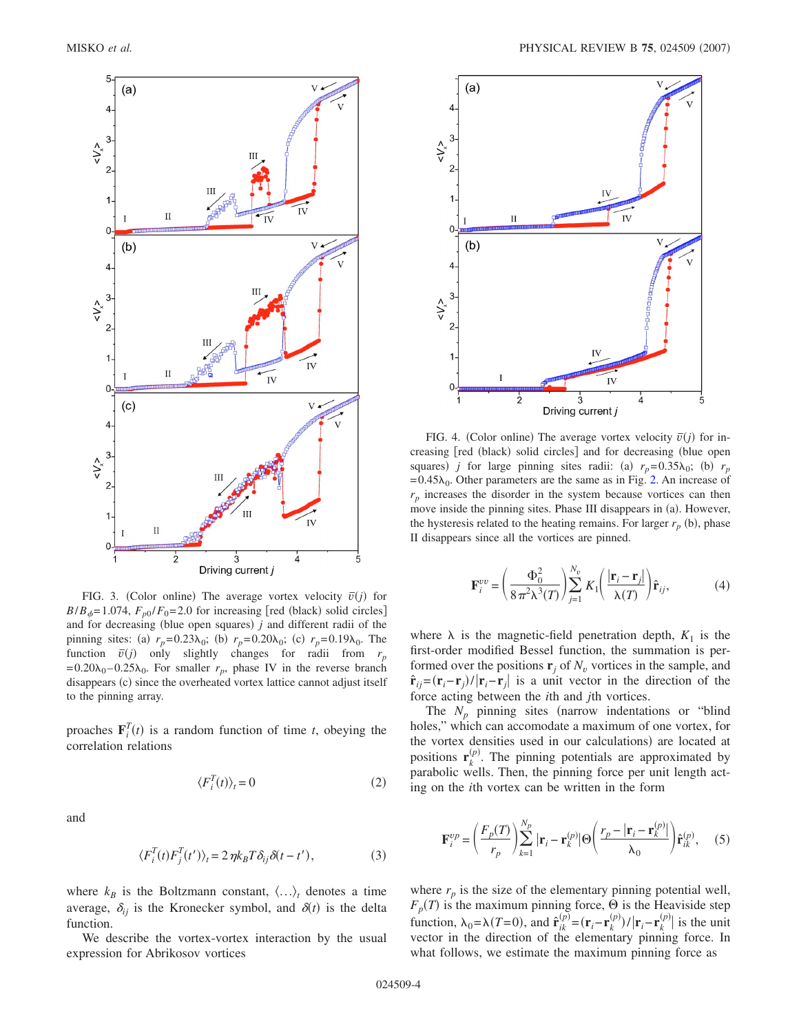<span id="page-3-1"></span>

FIG. 3. (Color online) The average vortex velocity  $\bar{v}(j)$  for  $B/B_{\phi} = 1.074$ ,  $F_{p0}/F_0 = 2.0$  for increasing [red (black) solid circles] and for decreasing (blue open squares)  $j$  and different radii of the pinning sites: (a)  $r_p = 0.23\lambda_0$ ; (b)  $r_p = 0.20\lambda_0$ ; (c)  $r_p = 0.19\lambda_0$ . The function  $\overline{v}(j)$  only slightly changes for radii from  $r_p$  $=0.20\lambda_0 - 0.25\lambda_0$ . For smaller  $r_p$ , phase IV in the reverse branch disappears (c) since the overheated vortex lattice cannot adjust itself to the pinning array.

proaches  $\mathbf{F}_i^T(t)$  is a random function of time *t*, obeying the correlation relations

$$
\langle F_i^T(t) \rangle_t = 0 \tag{2}
$$

and

$$
\langle F_i^T(t)F_j^T(t')\rangle_t = 2\eta k_B T \delta_{ij}\delta(t-t'),\tag{3}
$$

where  $k_B$  is the Boltzmann constant,  $\langle \ldots \rangle_t$  denotes a time average,  $\delta_{ij}$  is the Kronecker symbol, and  $\delta(t)$  is the delta function.

We describe the vortex-vortex interaction by the usual expression for Abrikosov vortices

<span id="page-3-2"></span>

FIG. 4. (Color online) The average vortex velocity  $\bar{v}(j)$  for increasing [red (black) solid circles] and for decreasing (blue open squares) *j* for large pinning sites radii: (a)  $r_p = 0.35\lambda_0$ ; (b)  $r_p$  $=0.45\lambda_0$ . Other parameters are the same as in Fig. [2.](#page-2-0) An increase of  $r_p$  increases the disorder in the system because vortices can then move inside the pinning sites. Phase III disappears in (a). However, the hysteresis related to the heating remains. For larger  $r_p$  (b), phase II disappears since all the vortices are pinned.

$$
\mathbf{F}_{i}^{vv} = \left(\frac{\Phi_0^2}{8\pi^2\lambda^3(T)}\right) \sum_{j=1}^{N_v} K_1 \left(\frac{|\mathbf{r}_i - \mathbf{r}_j|}{\lambda(T)}\right) \hat{\mathbf{r}}_{ij},
$$
(4)

where  $\lambda$  is the magnetic-field penetration depth,  $K_1$  is the first-order modified Bessel function, the summation is performed over the positions  $\mathbf{r}_i$  of  $N_v$  vortices in the sample, and  $\hat{\mathbf{r}}_{ij} = (\mathbf{r}_i - \mathbf{r}_j)/|\mathbf{r}_i - \mathbf{r}_j|$  is a unit vector in the direction of the force acting between the *i*th and *j*th vortices.

The  $N_p$  pinning sites (narrow indentations or "blind") holes," which can accomodate a maximum of one vortex, for the vortex densities used in our calculations) are located at positions  $\mathbf{r}_k^{(p)}$ . The pinning potentials are approximated by parabolic wells. Then, the pinning force per unit length acting on the *i*th vortex can be written in the form

<span id="page-3-0"></span>
$$
\mathbf{F}_{i}^{vp} = \left(\frac{F_p(T)}{r_p}\right) \sum_{k=1}^{N_p} |\mathbf{r}_i - \mathbf{r}_k^{(p)}| \Theta\left(\frac{r_p - |\mathbf{r}_i - \mathbf{r}_k^{(p)}|}{\lambda_0}\right) \hat{\mathbf{r}}_{ik}^{(p)}, \quad (5)
$$

where  $r_p$  is the size of the elementary pinning potential well,  $F_p(T)$  is the maximum pinning force,  $\Theta$  is the Heaviside step function,  $\lambda_0 = \lambda(T=0)$ , and  $\hat{\mathbf{r}}_{ik}^{(p)} = (\mathbf{r}_i - \mathbf{r}_k^{(p)})/|\mathbf{r}_i - \mathbf{r}_k^{(p)}|$  is the unit vector in the direction of the elementary pinning force. In what follows, we estimate the maximum pinning force as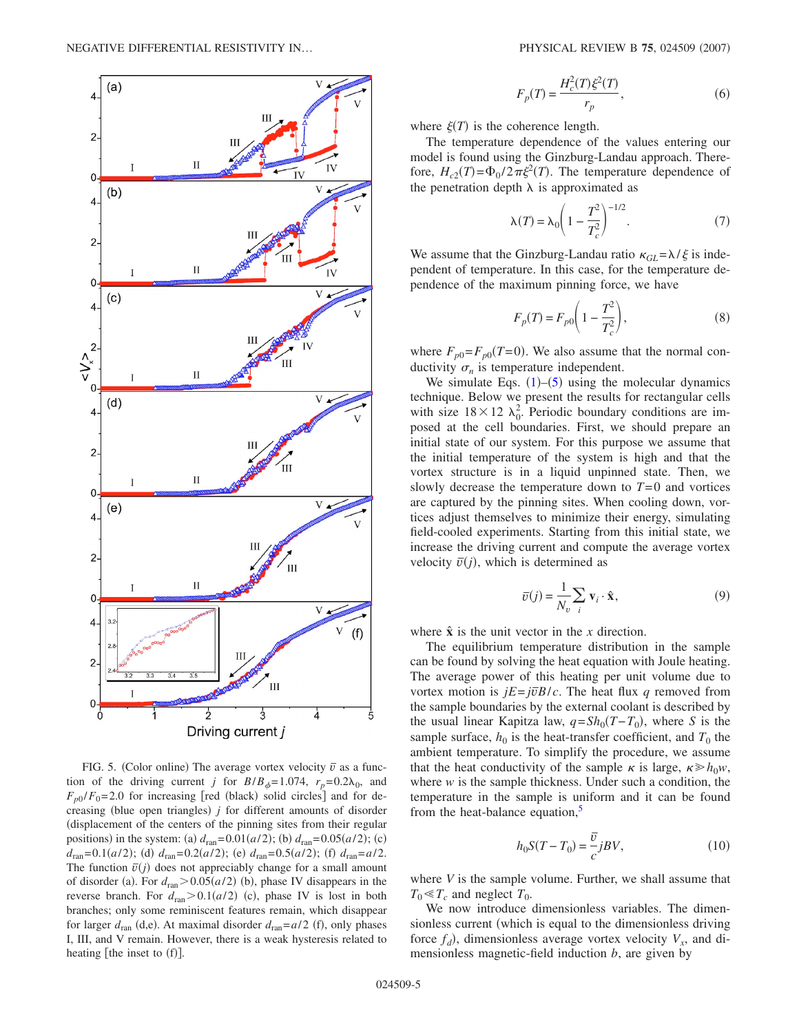<span id="page-4-0"></span>

FIG. 5. (Color online) The average vortex velocity  $\bar{v}$  as a function of the driving current *j* for  $B/B_{\phi}=1.074$ ,  $r_p=0.2\lambda_0$ , and  $F_{p0}$  / $F_0$  = 2.0 for increasing [red (black) solid circles] and for decreasing (blue open triangles)  $j$  for different amounts of disorder displacement of the centers of the pinning sites from their regular positions) in the system: (a)  $d_{\text{ran}} = 0.01(a/2)$ ; (b)  $d_{\text{ran}} = 0.05(a/2)$ ; (c)  $d_{\text{ran}} = 0.1(a/2)$ ; (d)  $d_{\text{ran}} = 0.2(a/2)$ ; (e)  $d_{\text{ran}} = 0.5(a/2)$ ; (f)  $d_{\text{ran}} = a/2$ . The function  $\overline{v}(j)$  does not appreciably change for a small amount of disorder (a). For  $d_{\text{ran}} > 0.05(a/2)$  (b), phase IV disappears in the reverse branch. For  $d_{\text{ran}} > 0.1(a/2)$  (c), phase IV is lost in both branches; only some reminiscent features remain, which disappear for larger  $d_{\text{ran}}$  (d,e). At maximal disorder  $d_{\text{ran}} = a/2$  (f), only phases I, III, and V remain. However, there is a weak hysteresis related to heating [the inset to  $(f)$ ].

$$
F_p(T) = \frac{H_c^2(T)\xi^2(T)}{r_p},
$$
\n(6)

where  $\xi(T)$  is the coherence length.

The temperature dependence of the values entering our model is found using the Ginzburg-Landau approach. Therefore,  $H_{c2}(T) = \Phi_0 / 2 \pi \xi^2(T)$ . The temperature dependence of the penetration depth  $\lambda$  is approximated as

$$
\lambda(T) = \lambda_0 \left( 1 - \frac{T^2}{T_c^2} \right)^{-1/2}.
$$
 (7)

We assume that the Ginzburg-Landau ratio  $\kappa_{GL} = \lambda / \xi$  is independent of temperature. In this case, for the temperature dependence of the maximum pinning force, we have

$$
F_p(T) = F_{p0} \bigg( 1 - \frac{T^2}{T_c^2} \bigg),
$$
\n(8)

where  $F_{p0} = F_{p0}(T=0)$ . We also assume that the normal conductivity  $\sigma_n$  is temperature independent.

We simulate Eqs.  $(1)$  $(1)$  $(1)$ – $(5)$  $(5)$  $(5)$  using the molecular dynamics technique. Below we present the results for rectangular cells with size  $18 \times 12 \lambda_0^2$ . Periodic boundary conditions are imposed at the cell boundaries. First, we should prepare an initial state of our system. For this purpose we assume that the initial temperature of the system is high and that the vortex structure is in a liquid unpinned state. Then, we slowly decrease the temperature down to  $T=0$  and vortices are captured by the pinning sites. When cooling down, vortices adjust themselves to minimize their energy, simulating field-cooled experiments. Starting from this initial state, we increase the driving current and compute the average vortex velocity  $\bar{v}(j)$ , which is determined as

$$
\overline{v}(j) = \frac{1}{N_v} \sum_{i} \mathbf{v}_i \cdot \hat{\mathbf{x}},
$$
\n(9)

where  $\hat{\mathbf{x}}$  is the unit vector in the *x* direction.

The equilibrium temperature distribution in the sample can be found by solving the heat equation with Joule heating. The average power of this heating per unit volume due to vortex motion is  $jE = j\bar{v}B/c$ . The heat flux *q* removed from the sample boundaries by the external coolant is described by the usual linear Kapitza law,  $q = Sh_0(T - T_0)$ , where *S* is the sample surface,  $h_0$  is the heat-transfer coefficient, and  $T_0$  the ambient temperature. To simplify the procedure, we assume that the heat conductivity of the sample  $\kappa$  is large,  $\kappa \gg h_0 w$ , where *w* is the sample thickness. Under such a condition, the temperature in the sample is uniform and it can be found from the heat-balance equation, $\frac{5}{3}$ 

$$
h_0 S(T - T_0) = \frac{\overline{v}}{c} j B V,\tag{10}
$$

<span id="page-4-1"></span>where *V* is the sample volume. Further, we shall assume that  $T_0 \ll T_c$  and neglect  $T_0$ .

We now introduce dimensionless variables. The dimensionless current (which is equal to the dimensionless driving force  $f_d$ ), dimensionless average vortex velocity  $V_x$ , and dimensionless magnetic-field induction *b*, are given by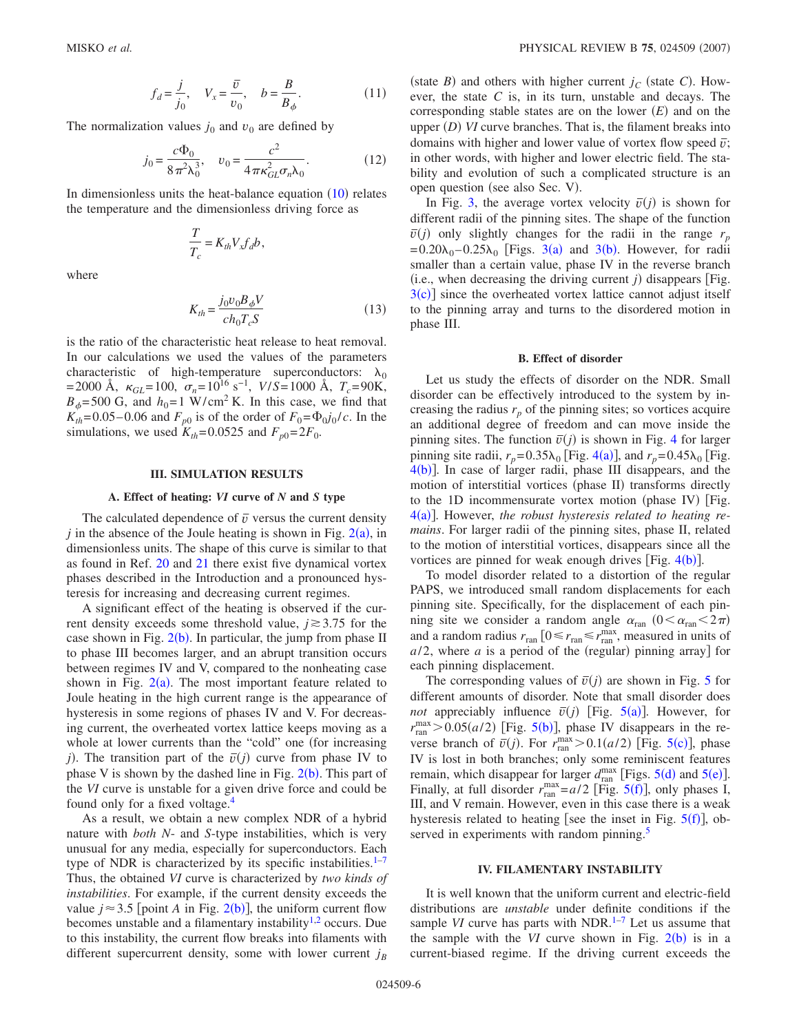$$
f_d = \frac{j}{j_0}, \quad V_x = \frac{\bar{v}}{v_0}, \quad b = \frac{B}{B_{\phi}}.
$$
 (11)

The normalization values  $j_0$  and  $v_0$  are defined by

$$
j_0 = \frac{c\Phi_0}{8\pi^2\lambda_0^3}
$$
,  $v_0 = \frac{c^2}{4\pi\kappa_{GL}^2\sigma_n\lambda_0}$ . (12)

In dimensionless units the heat-balance equation  $(10)$  $(10)$  $(10)$  relates the temperature and the dimensionless driving force as

$$
\frac{T}{T_c} = K_{th} V_x f_d b,
$$

where

$$
K_{th} = \frac{j_0 v_0 B_\phi V}{c h_0 T_c S} \tag{13}
$$

is the ratio of the characteristic heat release to heat removal. In our calculations we used the values of the parameters characteristic of high-temperature superconductors:  $\lambda_0$  $=2000 \text{ Å}, \ \kappa_{GL} = 100, \ \sigma_n = 10^{16} \text{ s}^{-1}, \ \text{V/S} = 1000 \text{ Å}, \ \text{T}_c = 90 \text{K},$  $B_{\phi}$ =500 G, and  $h_0$ =1 W/cm<sup>2</sup> K. In this case, we find that  $K_{th} = 0.05 - 0.06$  and  $F_{p0}$  is of the order of  $F_0 = \Phi_0 j_0 / c$ . In the simulations, we used  $K_{th} = 0.0525$  and  $F_{p0} = 2F_0$ .

#### **III. SIMULATION RESULTS**

#### **A. Effect of heating:** *VI* **curve of** *N* **and** *S* **type**

The calculated dependence of  $\bar{v}$  versus the current density *j* in the absence of the Joule heating is shown in Fig.  $2(a)$  $2(a)$ , in dimensionless units. The shape of this curve is similar to that as found in Ref. [20](#page-9-0) and [21](#page-9-1) there exist five dynamical vortex phases described in the Introduction and a pronounced hysteresis for increasing and decreasing current regimes.

A significant effect of the heating is observed if the current density exceeds some threshold value,  $j \geq 3.75$  for the case shown in Fig.  $2(b)$  $2(b)$ . In particular, the jump from phase II to phase III becomes larger, and an abrupt transition occurs between regimes IV and V, compared to the nonheating case shown in Fig.  $2(a)$  $2(a)$ . The most important feature related to Joule heating in the high current range is the appearance of hysteresis in some regions of phases IV and V. For decreasing current, the overheated vortex lattice keeps moving as a whole at lower currents than the "cold" one (for increasing *j*). The transition part of the  $\bar{v}(j)$  curve from phase IV to phase V is shown by the dashed line in Fig.  $2(b)$  $2(b)$ . This part of the *VI* curve is unstable for a given drive force and could be found only for a fixed voltage.<sup>4</sup>

As a result, we obtain a new complex NDR of a hybrid nature with *both N*- and *S*-type instabilities, which is very unusual for any media, especially for superconductors. Each type of NDR is characterized by its specific instabilities. $1-\frac{7}{2}$  $1-\frac{7}{2}$  $1-\frac{7}{2}$ Thus, the obtained *VI* curve is characterized by *two kinds of instabilities*. For example, if the current density exceeds the value  $j \approx 3.5$  [point *A* in Fig. [2](#page-2-0)(b)], the uniform current flow becomes unstable and a filamentary instability $1,2$  $1,2$  occurs. Due to this instability, the current flow breaks into filaments with different supercurrent density, some with lower current  $j_B$ 

(state *B*) and others with higher current  $j_c$  (state *C*). However, the state *C* is, in its turn, unstable and decays. The corresponding stable states are on the lower  $(E)$  and on the upper *(D) VI* curve branches. That is, the filament breaks into domains with higher and lower value of vortex flow speed  $\bar{v}$ ; in other words, with higher and lower electric field. The stability and evolution of such a complicated structure is an open question (see also Sec. V).

In Fig. [3,](#page-3-1) the average vortex velocity  $\bar{v}(j)$  is shown for different radii of the pinning sites. The shape of the function  $\bar{v}(j)$  only slightly changes for the radii in the range  $r_p$  $= 0.20\lambda_0 - 0.25\lambda_0$  [Figs. [3](#page-3-1)(a) and 3(b). However, for radii smaller than a certain value, phase IV in the reverse branch  $(i.e., when decreasing the driving current  $j$ ) disappears [Fig.$  $3(c)$  $3(c)$  since the overheated vortex lattice cannot adjust itself to the pinning array and turns to the disordered motion in phase III.

#### **B. Effect of disorder**

Let us study the effects of disorder on the NDR. Small disorder can be effectively introduced to the system by increasing the radius  $r_p$  of the pinning sites; so vortices acquire an additional degree of freedom and can move inside the pinning sites. The function  $\overline{v}(j)$  is shown in Fig. [4](#page-3-2) for larger pinning site radii,  $r_p = 0.35\lambda_0$  [Fig. [4](#page-3-2)(a)], and  $r_p = 0.45\lambda_0$  [Fig. [4](#page-3-2)(b)]. In case of larger radii, phase III disappears, and the motion of interstitial vortices (phase II) transforms directly to the 1D incommensurate vortex motion (phase IV) [Fig. [4](#page-3-2)(a)]. However, *the robust hysteresis related to heating remains*. For larger radii of the pinning sites, phase II, related to the motion of interstitial vortices, disappears since all the vortices are pinned for weak enough drives [Fig.  $4(b)$  $4(b)$ ].

To model disorder related to a distortion of the regular PAPS, we introduced small random displacements for each pinning site. Specifically, for the displacement of each pinning site we consider a random angle  $\alpha_{\text{ran}}$   $(0 \le \alpha_{\text{ran}} \le 2\pi)$ and a random radius  $r_{\text{ran}} \left[ 0 \le r_{\text{ran}} \le r_{\text{ran}}^{\text{max}} \right]$ , measured in units of  $a/2$ , where *a* is a period of the (regular) pinning array] for each pinning displacement.

The corresponding values of  $\bar{v}(j)$  are shown in Fig. [5](#page-4-0) for different amounts of disorder. Note that small disorder does *not* appreciably influence  $\bar{v}(j)$  [Fig. [5](#page-4-0)(a)]. However, for  $r_{\text{ran}}^{\text{max}} > 0.05(a/2)$  $r_{\text{ran}}^{\text{max}} > 0.05(a/2)$  $r_{\text{ran}}^{\text{max}} > 0.05(a/2)$  [Fig. 5(b)], phase IV disappears in the reverse branch of  $\overline{v}(j)$ . For  $r_{\text{ran}}^{\text{max}} > 0.1(a/2)$  [Fig. [5](#page-4-0)(c)], phase IV is lost in both branches; only some reminiscent features remain, which disappear for larger  $d_{\text{ran}}^{\text{max}}$  [Figs. [5](#page-4-0)(d) and 5(e)]. Finally, at full disorder  $r_{\text{ran}}^{\text{max}} = a/2$  [Fig. [5](#page-4-0)(f)], only phases I, III, and V remain. However, even in this case there is a weak hysteresis related to heating [see the inset in Fig.  $5(f)$  $5(f)$ ], observed in experiments with random pinning.<sup>5</sup>

#### **IV. FILAMENTARY INSTABILITY**

It is well known that the uniform current and electric-field distributions are *unstable* under definite conditions if the sample *VI* curve has parts with NDR. $1-7$  $1-7$  Let us assume that the sample with the *VI* curve shown in Fig.  $2(b)$  $2(b)$  $2(b)$  is in a current-biased regime. If the driving current exceeds the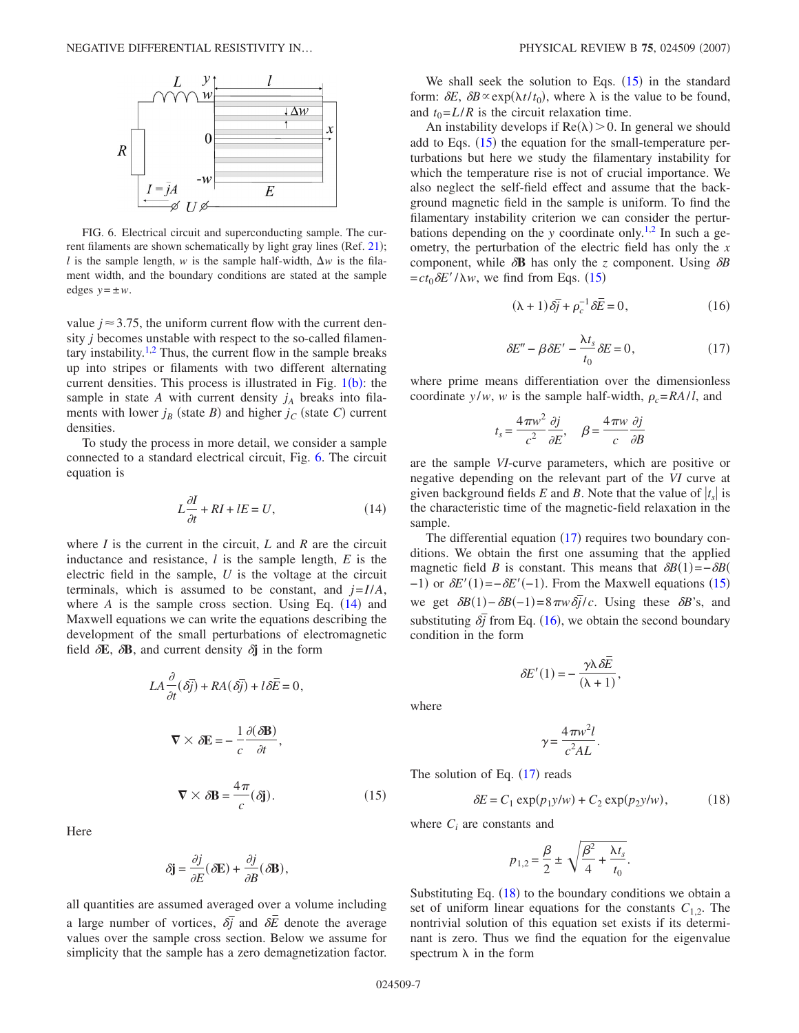<span id="page-6-0"></span>

FIG. 6. Electrical circuit and superconducting sample. The cur-rent filaments are shown schematically by light gray lines (Ref. [21](#page-9-1)); *l* is the sample length, *w* is the sample half-width,  $\Delta w$  is the filament width, and the boundary conditions are stated at the sample edges  $y = \pm w$ .

value  $j \approx 3.75$ , the uniform current flow with the current density *j* becomes unstable with respect to the so-called filamen-tary instability.<sup>1,[2](#page-8-2)</sup> Thus, the current flow in the sample breaks up into stripes or filaments with two different alternating current densities. This process is illustrated in Fig.  $1(b)$  $1(b)$ : the sample in state *A* with current density  $j_A$  breaks into filaments with lower  $j_B$  (state *B*) and higher  $j_C$  (state *C*) current densities.

To study the process in more detail, we consider a sample connected to a standard electrical circuit, Fig. [6.](#page-6-0) The circuit equation is

$$
L\frac{\partial I}{\partial t} + RI + lE = U,\tag{14}
$$

<span id="page-6-1"></span>where *I* is the current in the circuit, *L* and *R* are the circuit inductance and resistance, *l* is the sample length, *E* is the electric field in the sample, *U* is the voltage at the circuit terminals, which is assumed to be constant, and *j*=*I*/*A*, where  $A$  is the sample cross section. Using Eq.  $(14)$  $(14)$  $(14)$  and Maxwell equations we can write the equations describing the development of the small perturbations of electromagnetic field  $\delta$ **E**,  $\delta$ **B**, and current density  $\delta$ **j** in the form

<span id="page-6-2"></span>
$$
LA\frac{\partial}{\partial t}(\delta\vec{j}) + RA(\delta\vec{j}) + l\delta\vec{E} = 0,
$$
  

$$
\nabla \times \delta\mathbf{E} = -\frac{1}{c}\frac{\partial(\delta\mathbf{B})}{\partial t},
$$
  

$$
\nabla \times \delta\mathbf{B} = \frac{4\pi}{c}(\delta\mathbf{j}).
$$
 (15)

Here

$$
\delta \mathbf{j} = \frac{\partial j}{\partial E} (\delta \mathbf{E}) + \frac{\partial j}{\partial B} (\delta \mathbf{B}),
$$

all quantities are assumed averaged over a volume including a large number of vortices,  $\delta \bar{j}$  and  $\delta \bar{E}$  denote the average values over the sample cross section. Below we assume for simplicity that the sample has a zero demagnetization factor.

We shall seek the solution to Eqs.  $(15)$  $(15)$  $(15)$  in the standard form:  $\delta E$ ,  $\delta B \propto \exp(\lambda t / t_0)$ , where  $\lambda$  is the value to be found, and  $t_0 = L/R$  is the circuit relaxation time.

An instability develops if  $Re(\lambda) > 0$ . In general we should add to Eqs.  $(15)$  $(15)$  $(15)$  the equation for the small-temperature perturbations but here we study the filamentary instability for which the temperature rise is not of crucial importance. We also neglect the self-field effect and assume that the background magnetic field in the sample is uniform. To find the filamentary instability criterion we can consider the perturbations depending on the *y* coordinate only.<sup>1[,2](#page-8-2)</sup> In such a geometry, the perturbation of the electric field has only the *x* component, while  $\delta$ **B** has only the *z* component. Using  $\delta$ *B*  $=ct_0\delta E'/\lambda w$ , we find from Eqs. ([15](#page-6-2))

$$
(\lambda + 1)\delta \bar{j} + \rho_c^{-1} \delta \bar{E} = 0, \qquad (16)
$$

$$
\delta E'' - \beta \delta E' - \frac{\lambda t_s}{t_0} \delta E = 0, \qquad (17)
$$

<span id="page-6-4"></span><span id="page-6-3"></span>where prime means differentiation over the dimensionless coordinate  $y/w$ , *w* is the sample half-width,  $\rho_c = RA/l$ , and

$$
t_s = \frac{4\pi w^2}{c^2} \frac{\partial j}{\partial E}, \quad \beta = \frac{4\pi w}{c} \frac{\partial j}{\partial B}
$$

are the sample *VI*-curve parameters, which are positive or negative depending on the relevant part of the *VI* curve at given background fields E and B. Note that the value of  $|t_s|$  is the characteristic time of the magnetic-field relaxation in the sample.

The differential equation  $(17)$  $(17)$  $(17)$  requires two boundary conditions. We obtain the first one assuming that the applied magnetic field *B* is constant. This means that  $\delta B(1) = -\delta B($  $-1$ ) or  $\delta E'(1) = -\delta E'(-1)$ . From the Maxwell equations ([15](#page-6-2)) we get  $\delta B(1) - \delta B(-1) = 8 \pi w \delta \bar{j}/c$ . Using these  $\delta B$ 's, and substituting  $\delta \bar{j}$  from Eq. ([16](#page-6-4)), we obtain the second boundary condition in the form

$$
\delta E'(1) = -\frac{\gamma \lambda \delta \bar{E}}{(\lambda + 1)},
$$

where

$$
\gamma = \frac{4\pi w^2 l}{c^2 A L}.
$$

<span id="page-6-5"></span>The solution of Eq.  $(17)$  $(17)$  $(17)$  reads

$$
\delta E = C_1 \exp(p_1 y/w) + C_2 \exp(p_2 y/w), \qquad (18)
$$

where  $C_i$  are constants and

$$
p_{1,2} = \frac{\beta}{2} \pm \sqrt{\frac{\beta^2}{4} + \frac{\lambda t_s}{t_0}}.
$$

Substituting Eq.  $(18)$  $(18)$  $(18)$  to the boundary conditions we obtain a set of uniform linear equations for the constants  $C_{1,2}$ . The nontrivial solution of this equation set exists if its determinant is zero. Thus we find the equation for the eigenvalue spectrum  $\lambda$  in the form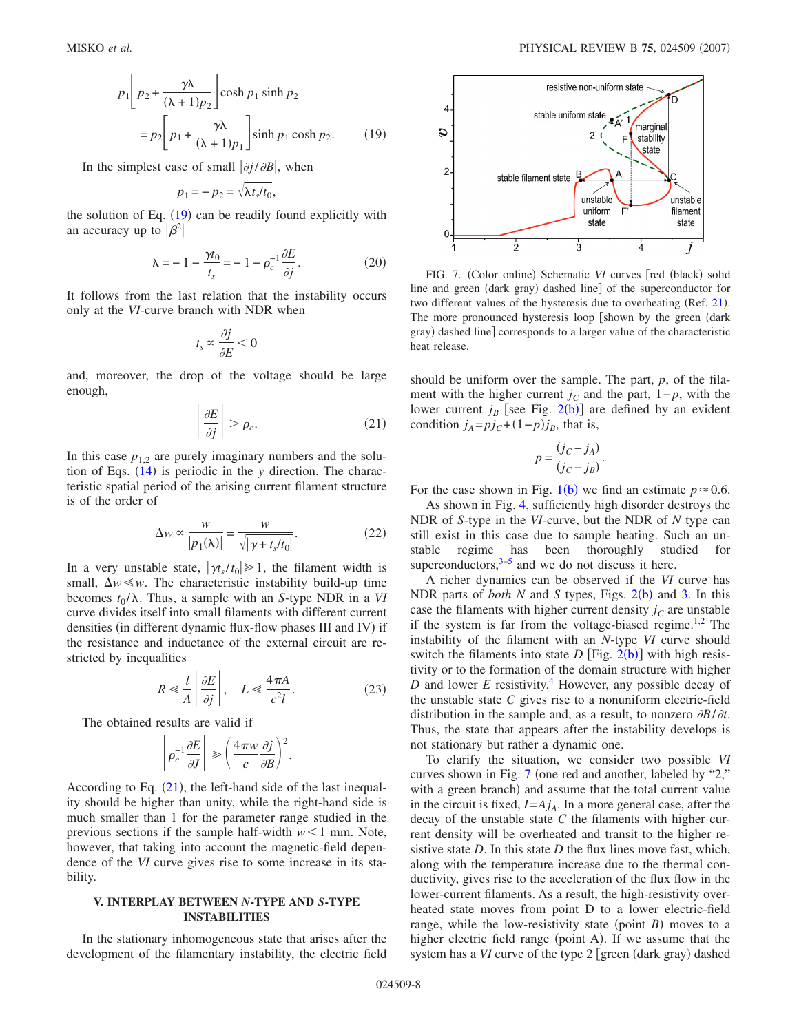<span id="page-7-0"></span>
$$
p_1 \left[ p_2 + \frac{\gamma \lambda}{(\lambda + 1)p_2} \right] \cosh p_1 \sinh p_2
$$
  
= 
$$
p_2 \left[ p_1 + \frac{\gamma \lambda}{(\lambda + 1)p_1} \right] \sinh p_1 \cosh p_2.
$$
 (19)

In the simplest case of small  $|\partial j / \partial B|$ , when

$$
p_1 = -p_2 = \sqrt{\lambda t_s/t_0},
$$

the solution of Eq.  $(19)$  $(19)$  $(19)$  can be readily found explicitly with an accuracy up to  $|\beta^2|$ 

$$
\lambda = -1 - \frac{\gamma t_0}{t_s} = -1 - \rho_c^{-1} \frac{\partial E}{\partial j}.
$$
 (20)

It follows from the last relation that the instability occurs only at the *VI*-curve branch with NDR when

$$
t_s \propto \frac{\partial j}{\partial E} < 0
$$

<span id="page-7-1"></span>and, moreover, the drop of the voltage should be large enough,

$$
\left| \frac{\partial E}{\partial j} \right| > \rho_c. \tag{21}
$$

In this case  $p_{1,2}$  are purely imaginary numbers and the solu-tion of Eqs. ([14](#page-6-1)) is periodic in the *y* direction. The characteristic spatial period of the arising current filament structure is of the order of

$$
\Delta w \propto \frac{w}{|p_1(\lambda)|} = \frac{w}{\sqrt{|\gamma + t_s/t_0|}}.\tag{22}
$$

In a very unstable state,  $|\gamma t_s/t_0| \geq 1$ , the filament width is small,  $\Delta w \ll w$ . The characteristic instability build-up time becomes  $t_0/\lambda$ . Thus, a sample with an *S*-type NDR in a *VI* curve divides itself into small filaments with different current densities (in different dynamic flux-flow phases III and IV) if the resistance and inductance of the external circuit are restricted by inequalities

$$
R \ll \frac{l}{A} \left| \frac{\partial E}{\partial j} \right|, \quad L \ll \frac{4\pi A}{c^2 l}.
$$
 (23)

The obtained results are valid if

$$
\left| \rho_c^{-1} \frac{\partial E}{\partial J} \right| \gg \left( \frac{4 \pi w}{c} \frac{\partial j}{\partial B} \right)^2.
$$

According to Eq.  $(21)$  $(21)$  $(21)$ , the left-hand side of the last inequality should be higher than unity, while the right-hand side is much smaller than 1 for the parameter range studied in the previous sections if the sample half-width  $w<1$  mm. Note, however, that taking into account the magnetic-field dependence of the *VI* curve gives rise to some increase in its stability.

# **V. INTERPLAY BETWEEN** *N***-TYPE AND** *S***-TYPE INSTABILITIES**

In the stationary inhomogeneous state that arises after the development of the filamentary instability, the electric field

<span id="page-7-2"></span>

FIG. 7. (Color online) Schematic VI curves [red (black) solid line and green (dark gray) dashed line] of the superconductor for two different values of the hysteresis due to overheating (Ref. [21](#page-9-1)). The more pronounced hysteresis loop [shown by the green (dark gray) dashed line] corresponds to a larger value of the characteristic heat release.

should be uniform over the sample. The part, *p*, of the filament with the higher current  $j<sub>C</sub>$  and the part, 1−*p*, with the lower current  $j_B$  [see Fig. [2](#page-2-0)(b)] are defined by an evident condition  $j_A = pj_C + (1 - p)j_B$ , that is,

$$
p = \frac{(j_C - j_A)}{(j_C - j_B)}
$$

.

For the case shown in Fig. [1](#page-1-1)(b) we find an estimate  $p \approx 0.6$ .

As shown in Fig. [4,](#page-3-2) sufficiently high disorder destroys the NDR of *S*-type in the *VI*-curve, but the NDR of *N* type can still exist in this case due to sample heating. Such an unstable regime has been thoroughly studied for superconductors, $3-5$  and we do not discuss it here.

A richer dynamics can be observed if the *VI* curve has NDR parts of *both N* and *S* types, Figs. [2](#page-2-0)(b) and [3.](#page-3-1) In this case the filaments with higher current density  $j<sub>C</sub>$  are unstable if the system is far from the voltage-biased regime.<sup>1[,2](#page-8-2)</sup> The instability of the filament with an *N*-type *VI* curve should switch the filaments into state  $D$  [Fig.  $2(b)$  $2(b)$ ] with high resistivity or to the formation of the domain structure with higher *D* and lower *E* resistivity.<sup>4</sup> However, any possible decay of the unstable state *C* gives rise to a nonuniform electric-field distribution in the sample and, as a result, to nonzero  $\partial B/\partial t$ . Thus, the state that appears after the instability develops is not stationary but rather a dynamic one.

To clarify the situation, we consider two possible *VI* curves shown in Fig.  $7$  (one red and another, labeled by "2," with a green branch) and assume that the total current value in the circuit is fixed,  $I = Aj_A$ . In a more general case, after the decay of the unstable state *C* the filaments with higher current density will be overheated and transit to the higher resistive state *D*. In this state *D* the flux lines move fast, which, along with the temperature increase due to the thermal conductivity, gives rise to the acceleration of the flux flow in the lower-current filaments. As a result, the high-resistivity overheated state moves from point D to a lower electric-field range, while the low-resistivity state (point  $B$ ) moves to a higher electric field range (point A). If we assume that the system has a VI curve of the type 2 [green (dark gray) dashed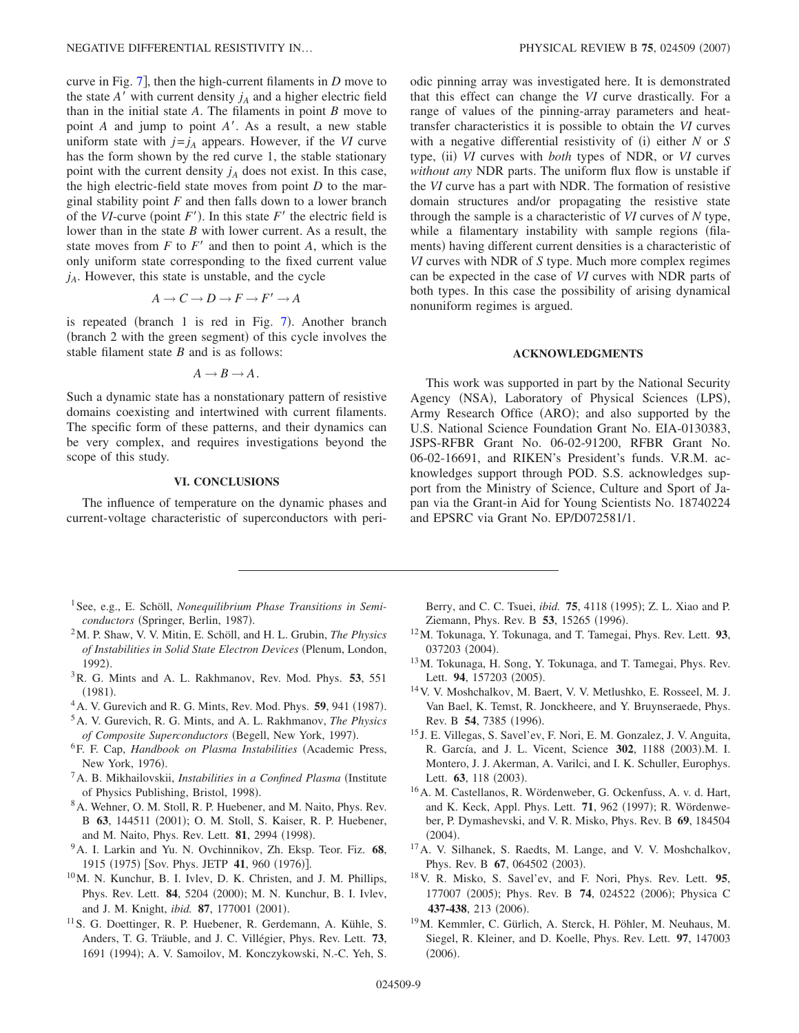curve in Fig. [7](#page-7-2), then the high-current filaments in *D* move to the state  $A'$  with current density  $j_A$  and a higher electric field than in the initial state *A*. The filaments in point *B* move to point *A* and jump to point *A*. As a result, a new stable uniform state with  $j=j_A$  appears. However, if the *VI* curve has the form shown by the red curve 1, the stable stationary point with the current density  $j_A$  does not exist. In this case, the high electric-field state moves from point *D* to the marginal stability point *F* and then falls down to a lower branch of the *VI*-curve (point  $F'$ ). In this state  $F'$  the electric field is lower than in the state *B* with lower current. As a result, the state moves from  $F$  to  $F'$  and then to point  $A$ , which is the only uniform state corresponding to the fixed current value  $j_A$ . However, this state is unstable, and the cycle

$$
A \to C \to D \to F \to F' \to A
$$

is repeated (branch 1 is red in Fig. [7](#page-7-2)). Another branch (branch 2 with the green segment) of this cycle involves the stable filament state *B* and is as follows:

$$
A \to B \to A.
$$

Such a dynamic state has a nonstationary pattern of resistive domains coexisting and intertwined with current filaments. The specific form of these patterns, and their dynamics can be very complex, and requires investigations beyond the scope of this study.

## **VI. CONCLUSIONS**

The influence of temperature on the dynamic phases and current-voltage characteristic of superconductors with periodic pinning array was investigated here. It is demonstrated that this effect can change the *VI* curve drastically. For a range of values of the pinning-array parameters and heattransfer characteristics it is possible to obtain the *VI* curves with a negative differential resistivity of (i) either *N* or *S* type, (ii) VI curves with *both* types of NDR, or VI curves *without any* NDR parts. The uniform flux flow is unstable if the *VI* curve has a part with NDR. The formation of resistive domain structures and/or propagating the resistive state through the sample is a characteristic of *VI* curves of *N* type, while a filamentary instability with sample regions (filaments) having different current densities is a characteristic of *VI* curves with NDR of *S* type. Much more complex regimes can be expected in the case of *VI* curves with NDR parts of both types. In this case the possibility of arising dynamical nonuniform regimes is argued.

#### **ACKNOWLEDGMENTS**

This work was supported in part by the National Security Agency (NSA), Laboratory of Physical Sciences (LPS), Army Research Office (ARO); and also supported by the U.S. National Science Foundation Grant No. EIA-0130383, JSPS-RFBR Grant No. 06-02-91200, RFBR Grant No. 06-02-16691, and RIKEN's President's funds. V.R.M. acknowledges support through POD. S.S. acknowledges support from the Ministry of Science, Culture and Sport of Japan via the Grant-in Aid for Young Scientists No. 18740224 and EPSRC via Grant No. EP/D072581/1.

- <span id="page-8-0"></span><sup>1</sup> See, e.g., E. Schöll, *Nonequilibrium Phase Transitions in Semi*conductors (Springer, Berlin, 1987).
- <span id="page-8-2"></span>2M. P. Shaw, V. V. Mitin, E. Schöll, and H. L. Grubin, *The Physics of Instabilities in Solid State Electron Devices* Plenum, London, 1992).
- <span id="page-8-14"></span>3R. G. Mints and A. L. Rakhmanov, Rev. Mod. Phys. **53**, 551  $(1981).$
- <span id="page-8-13"></span><sup>4</sup> A. V. Gurevich and R. G. Mints, Rev. Mod. Phys. **59**, 941 (1987).
- <span id="page-8-8"></span>5A. V. Gurevich, R. G. Mints, and A. L. Rakhmanov, *The Physics* of Composite Superconductors (Begell, New York, 1997).
- <span id="page-8-6"></span><sup>6</sup>F. F. Cap, *Handbook on Plasma Instabilities* (Academic Press, New York, 1976).
- <span id="page-8-1"></span><sup>7</sup> A. B. Mikhailovskii, *Instabilities in a Confined Plasma* (Institute of Physics Publishing, Bristol, 1998).
- <span id="page-8-9"></span>8A. Wehner, O. M. Stoll, R. P. Huebener, and M. Naito, Phys. Rev. B 63, 144511 (2001); O. M. Stoll, S. Kaiser, R. P. Huebener, and M. Naito, Phys. Rev. Lett. **81**, 2994 (1998).
- <span id="page-8-10"></span>9A. I. Larkin and Yu. N. Ovchinnikov, Zh. Eksp. Teor. Fiz. **68**, 1915 (1975) [Sov. Phys. JETP 41, 960 (1976)].
- <span id="page-8-7"></span>10M. N. Kunchur, B. I. Ivlev, D. K. Christen, and J. M. Phillips, Phys. Rev. Lett. 84, 5204 (2000); M. N. Kunchur, B. I. Ivlev, and J. M. Knight, *ibid.* 87, 177001 (2001).
- <span id="page-8-11"></span><sup>11</sup> S. G. Doettinger, R. P. Huebener, R. Gerdemann, A. Kühle, S. Anders, T. G. Träuble, and J. C. Villégier, Phys. Rev. Lett. **73**, 1691 (1994); A. V. Samoilov, M. Konczykowski, N.-C. Yeh, S.

Berry, and C. C. Tsuei, *ibid.* **75**, 4118 (1995); Z. L. Xiao and P. Ziemann, Phys. Rev. B 53, 15265 (1996).

- <span id="page-8-12"></span>12M. Tokunaga, Y. Tokunaga, and T. Tamegai, Phys. Rev. Lett. **93**, 037203 (2004).
- <span id="page-8-3"></span>13M. Tokunaga, H. Song, Y. Tokunaga, and T. Tamegai, Phys. Rev. Lett. 94, 157203 (2005).
- <span id="page-8-4"></span>14V. V. Moshchalkov, M. Baert, V. V. Metlushko, E. Rosseel, M. J. Van Bael, K. Temst, R. Jonckheere, and Y. Bruynseraede, Phys. Rev. B 54, 7385 (1996).
- <sup>15</sup> J. E. Villegas, S. Savel'ev, F. Nori, E. M. Gonzalez, J. V. Anguita, R. García, and J. L. Vicent, Science 302, 1188 (2003).M. I. Montero, J. J. Akerman, A. Varilci, and I. K. Schuller, Europhys. Lett. **63**, 118 (2003).
- 16A. M. Castellanos, R. Wördenweber, G. Ockenfuss, A. v. d. Hart, and K. Keck, Appl. Phys. Lett. 71, 962 (1997); R. Wördenweber, P. Dymashevski, and V. R. Misko, Phys. Rev. B **69**, 184504  $(2004).$
- <sup>17</sup> A. V. Silhanek, S. Raedts, M. Lange, and V. V. Moshchalkov, Phys. Rev. B 67, 064502 (2003).
- 18V. R. Misko, S. Savel'ev, and F. Nori, Phys. Rev. Lett. **95**, 177007 (2005); Phys. Rev. B 74, 024522 (2006); Physica C 437-438, 213 (2006).
- <span id="page-8-5"></span>19M. Kemmler, C. Gürlich, A. Sterck, H. Pöhler, M. Neuhaus, M. Siegel, R. Kleiner, and D. Koelle, Phys. Rev. Lett. **97**, 147003  $(2006).$